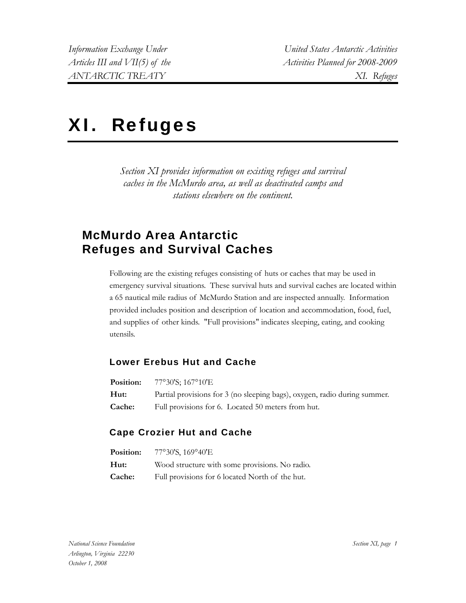# XI. Refuges

*Section XI provides information on existing refuges and survival caches in the McMurdo area, as well as deactivated camps and stations elsewhere on the continent.* 

# **McMurdo Area Antarctic Refuges and Survival Caches**

Following are the existing refuges consisting of huts or caches that may be used in emergency survival situations. These survival huts and survival caches are located within a 65 nautical mile radius of McMurdo Station and are inspected annually. Information provided includes position and description of location and accommodation, food, fuel, and supplies of other kinds. "Full provisions" indicates sleeping, eating, and cooking utensils.

#### **Lower Erebus Hut and Cache**

| <b>Position:</b> | 77°30'S; 167°10'E                                                         |
|------------------|---------------------------------------------------------------------------|
| Hut:             | Partial provisions for 3 (no sleeping bags), oxygen, radio during summer. |
| <b>Cache:</b>    | Full provisions for 6. Located 50 meters from hut.                        |

#### **Cape Crozier Hut and Cache**

| <b>Position:</b> | 77°30'S, 169°40'E                               |
|------------------|-------------------------------------------------|
| Hut:             | Wood structure with some provisions. No radio.  |
| <b>Cache:</b>    | Full provisions for 6 located North of the hut. |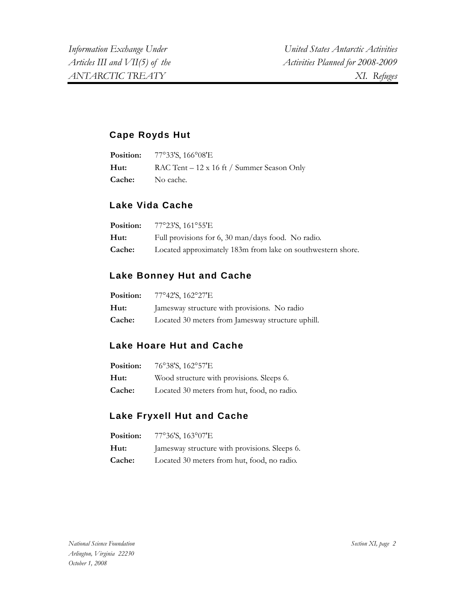#### **Cape Royds Hut**

|               | <b>Position:</b> 77°33'S, 166°08'E         |
|---------------|--------------------------------------------|
| Hut:          | RAC Tent – 12 x 16 ft / Summer Season Only |
| <b>Cache:</b> | No cache.                                  |

## **Lake Vida Cache**

| Position: | 77°23'S, 161°55'E                                           |
|-----------|-------------------------------------------------------------|
| Hut:      | Full provisions for 6, 30 man/days food. No radio.          |
| Cache:    | Located approximately 183m from lake on southwestern shore. |

## **Lake Bonney Hut and Cache**

| Position:     | 77°42'S, 162°27'E                                 |
|---------------|---------------------------------------------------|
| Hut:          | Jamesway structure with provisions. No radio      |
| <b>Cache:</b> | Located 30 meters from Jamesway structure uphill. |

#### **Lake Hoare Hut and Cache**

| Position: | 76°38'S, 162°57'E                           |
|-----------|---------------------------------------------|
| Hut:      | Wood structure with provisions. Sleeps 6.   |
| Cache:    | Located 30 meters from hut, food, no radio. |

#### **Lake Fryxell Hut and Cache**

| Position: | 77°36'S, 163°07'E                             |
|-----------|-----------------------------------------------|
| Hut:      | Jamesway structure with provisions. Sleeps 6. |
| Cache:    | Located 30 meters from hut, food, no radio.   |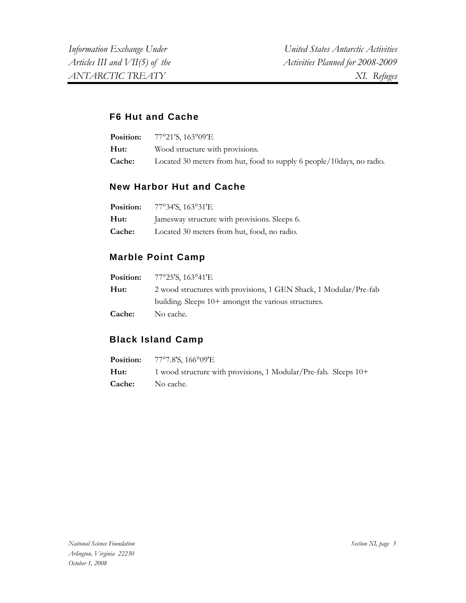#### **F6 Hut and Cache**

| <b>Position:</b> | 77°21'S, 163°09'E                                                     |
|------------------|-----------------------------------------------------------------------|
| Hut:             | Wood structure with provisions.                                       |
| <b>Cache:</b>    | Located 30 meters from hut, food to supply 6 people/10days, no radio. |

#### **New Harbor Hut and Cache**

| Position:     | 77°34'S, 163°31'E                             |
|---------------|-----------------------------------------------|
| Hut:          | Jamesway structure with provisions. Sleeps 6. |
| <b>Cache:</b> | Located 30 meters from hut, food, no radio.   |

## **Marble Point Camp**

|        | <b>Position:</b> $77^{\circ}25^{\prime}S$ , $163^{\circ}41^{\prime}E$ |  |
|--------|-----------------------------------------------------------------------|--|
| Hut:   | 2 wood structures with provisions, 1 GEN Shack, 1 Modular/Pre-fab     |  |
|        | building. Sleeps 10+ amongst the various structures.                  |  |
| Cache: | No cache.                                                             |  |

#### **Black Island Camp**

|                         | <b>Position:</b> 77°7.8'S, 166°09'E                             |
|-------------------------|-----------------------------------------------------------------|
| Hut:                    | 1 wood structure with provisions, 1 Modular/Pre-fab. Sleeps 10+ |
| <b>Cache:</b> No cache. |                                                                 |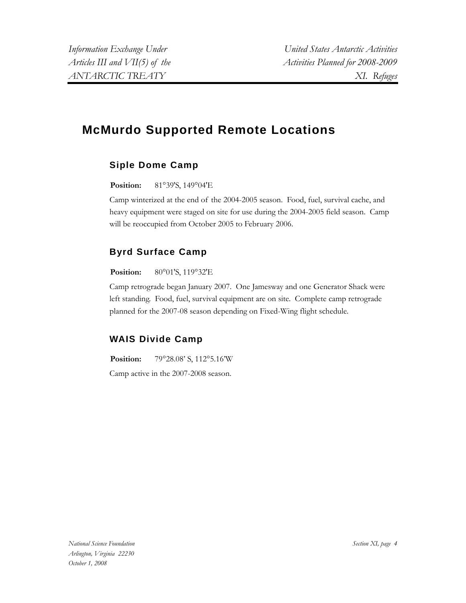# **McMurdo Supported Remote Locations**

## **Siple Dome Camp**

**Position:** 81°39'S, 149°04'E

Camp winterized at the end of the 2004-2005 season. Food, fuel, survival cache, and heavy equipment were staged on site for use during the 2004-2005 field season. Camp will be reoccupied from October 2005 to February 2006.

## **Byrd Surface Camp**

#### **Position:** 80°01'S, 119°32'E

Camp retrograde began January 2007. One Jamesway and one Generator Shack were left standing. Food, fuel, survival equipment are on site. Complete camp retrograde planned for the 2007-08 season depending on Fixed-Wing flight schedule.

#### **WAIS Divide Camp**

**Position:** 79°28.08' S, 112°5.16'W

Camp active in the 2007-2008 season.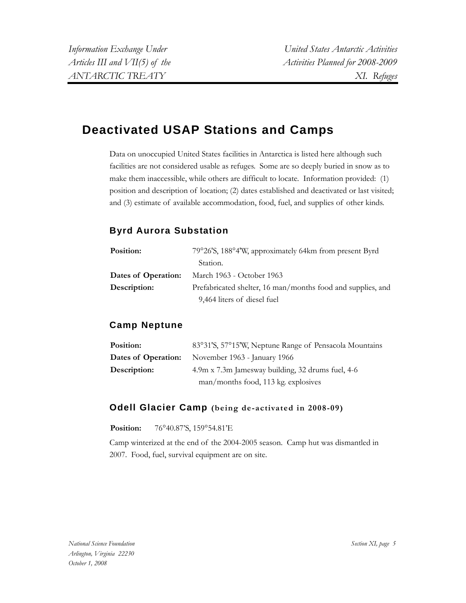# **Deactivated USAP Stations and Camps**

Data on unoccupied United States facilities in Antarctica is listed here although such facilities are not considered usable as refuges. Some are so deeply buried in snow as to make them inaccessible, while others are difficult to locate. Information provided: (1) position and description of location; (2) dates established and deactivated or last visited; and (3) estimate of available accommodation, food, fuel, and supplies of other kinds.

#### **Byrd Aurora Substation**

| Position:           | 79°26'S, 188°4'W, approximately 64km from present Byrd      |
|---------------------|-------------------------------------------------------------|
|                     | Station.                                                    |
| Dates of Operation: | March 1963 - October 1963                                   |
| Description:        | Prefabricated shelter, 16 man/months food and supplies, and |
|                     | 9,464 liters of diesel fuel                                 |

#### **Camp Neptune**

| Position:           | 83°31'S, 57°15'W, Neptune Range of Pensacola Mountains |  |
|---------------------|--------------------------------------------------------|--|
| Dates of Operation: | November 1963 - January 1966                           |  |
| Description:        | 4.9m x 7.3m Jamesway building, 32 drums fuel, 4-6      |  |
|                     | man/months food, 113 kg. explosives                    |  |

#### **Odell Glacier Camp (being de-activated in 2008-09)**

#### **Position:** 76°40.87'S, 159°54.81'E

Camp winterized at the end of the 2004-2005 season. Camp hut was dismantled in 2007. Food, fuel, survival equipment are on site.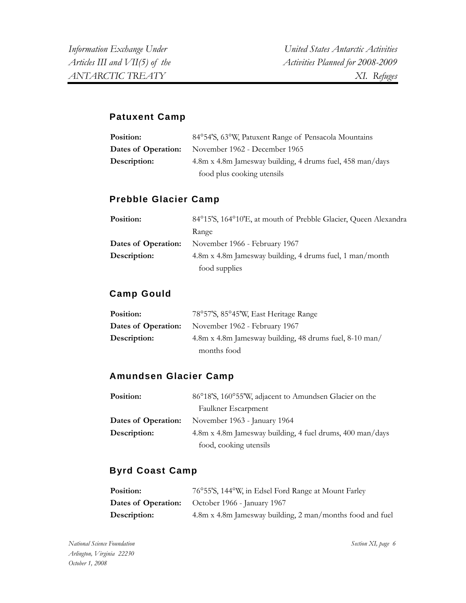#### **Patuxent Camp**

| Position:           | 84°54'S, 63°W, Patuxent Range of Pensacola Mountains      |  |
|---------------------|-----------------------------------------------------------|--|
| Dates of Operation: | November 1962 - December 1965                             |  |
| Description:        | 4.8m x 4.8m Jamesway building, 4 drums fuel, 458 man/days |  |
|                     | food plus cooking utensils                                |  |

#### **Prebble Glacier Camp**

| Position:           | 84°15'S, 164°10'E, at mouth of Prebble Glacier, Queen Alexandra |  |
|---------------------|-----------------------------------------------------------------|--|
|                     | Range                                                           |  |
| Dates of Operation: | November 1966 - February 1967                                   |  |
| Description:        | 4.8m x 4.8m Jamesway building, 4 drums fuel, 1 man/month        |  |
|                     | food supplies                                                   |  |

#### **Camp Gould**

| Position:           | 78°57'S, 85°45'W, East Heritage Range                   |  |
|---------------------|---------------------------------------------------------|--|
| Dates of Operation: | November 1962 - February 1967                           |  |
| Description:        | 4.8m x 4.8m Jamesway building, 48 drums fuel, 8-10 man/ |  |
|                     | months food                                             |  |

#### **Amundsen Glacier Camp**

| Position:           | 86°18'S, 160°55'W, adjacent to Amundsen Glacier on the    |  |
|---------------------|-----------------------------------------------------------|--|
|                     | Faulkner Escarpment                                       |  |
| Dates of Operation: | November 1963 - January 1964                              |  |
| Description:        | 4.8m x 4.8m Jamesway building, 4 fuel drums, 400 man/days |  |
|                     | food, cooking utensils                                    |  |

#### **Byrd Coast Camp**

| Position:    | 76°55′S, 144°W, in Edsel Ford Range at Mount Farley       |
|--------------|-----------------------------------------------------------|
|              | <b>Dates of Operation:</b> October 1966 - January 1967    |
| Description: | 4.8m x 4.8m Jamesway building, 2 man/months food and fuel |

*Section XI, page 6*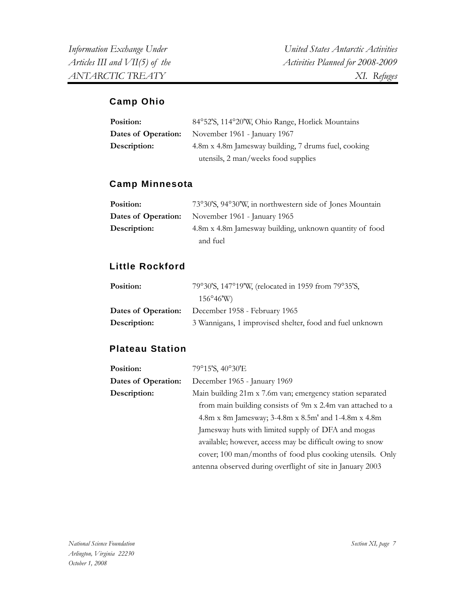#### **Camp Ohio**

| Position:           | 84°52'S, 114°20'W, Ohio Range, Horlick Mountains     |  |
|---------------------|------------------------------------------------------|--|
| Dates of Operation: | November 1961 - January 1967                         |  |
| Description:        | 4.8m x 4.8m Jamesway building, 7 drums fuel, cooking |  |
|                     | utensils, 2 man/weeks food supplies                  |  |

#### **Camp Minnesota**

| Position:    | 73°30'S, 94°30'W, in northwestern side of Jones Mountain |  |
|--------------|----------------------------------------------------------|--|
|              | <b>Dates of Operation:</b> November 1961 - January 1965  |  |
| Description: | 4.8m x 4.8m Jamesway building, unknown quantity of food  |  |
|              | and fuel                                                 |  |

#### **Little Rockford**

| Position:           | 79°30'S, 147°19'W, (relocated in 1959 from 79°35'S,      |  |
|---------------------|----------------------------------------------------------|--|
|                     | $156^{\circ}46'$ W)                                      |  |
| Dates of Operation: | December 1958 - February 1965                            |  |
| Description:        | 3 Wannigans, 1 improvised shelter, food and fuel unknown |  |

#### **Plateau Station**

| Position:                                                                                                                                                               | 79°15'S, 40°30'E                                           |  |                                                            |
|-------------------------------------------------------------------------------------------------------------------------------------------------------------------------|------------------------------------------------------------|--|------------------------------------------------------------|
| Dates of Operation:                                                                                                                                                     | December 1965 - January 1969                               |  |                                                            |
| Description:                                                                                                                                                            | Main building 21m x 7.6m van; emergency station separated  |  |                                                            |
|                                                                                                                                                                         | from main building consists of 9m x 2.4m van attached to a |  |                                                            |
| 4.8m x 8m Jamesway; 3-4.8m x 8.5m' and 1-4.8m x 4.8m<br>Jamesway huts with limited supply of DFA and mogas<br>available; however, access may be difficult owing to snow |                                                            |  |                                                            |
|                                                                                                                                                                         |                                                            |  | cover; 100 man/months of food plus cooking utensils. Only  |
|                                                                                                                                                                         |                                                            |  | antenna observed during overflight of site in January 2003 |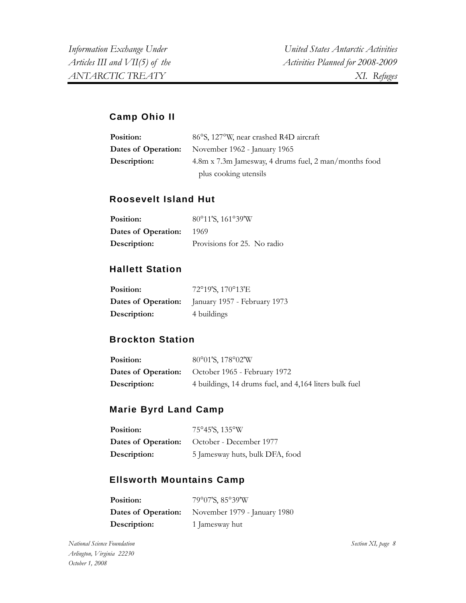#### **Camp Ohio II**

| <b>Position:</b>    | 86°S, 127°W, near crashed R4D aircraft                |  |
|---------------------|-------------------------------------------------------|--|
| Dates of Operation: | November 1962 - January 1965                          |  |
| Description:        | 4.8m x 7.3m Jamesway, 4 drums fuel, 2 man/months food |  |
|                     | plus cooking utensils                                 |  |

#### **Roosevelt Island Hut**

| Position:           | 80°11'S, 161°39'W           |
|---------------------|-----------------------------|
| Dates of Operation: | 1969                        |
| Description:        | Provisions for 25. No radio |

#### **Hallett Station**

| Position:    | 72°19'S, 170°13'E                                       |
|--------------|---------------------------------------------------------|
|              | <b>Dates of Operation:</b> January 1957 - February 1973 |
| Description: | 4 buildings                                             |

#### **Brockton Station**

| Position:    | 80°01'S, 178°02'W                                       |  |
|--------------|---------------------------------------------------------|--|
|              | <b>Dates of Operation:</b> October 1965 - February 1972 |  |
| Description: | 4 buildings, 14 drums fuel, and 4,164 liters bulk fuel  |  |

#### **Marie Byrd Land Camp**

| Position:    | 75°45'S, 135°W                                     |
|--------------|----------------------------------------------------|
|              | <b>Dates of Operation:</b> October - December 1977 |
| Description: | 5 Jamesway huts, bulk DFA, food                    |

#### **Ellsworth Mountains Camp**

| <b>Position:</b> | 79°07'S, 85°39'W                                        |
|------------------|---------------------------------------------------------|
|                  | <b>Dates of Operation:</b> November 1979 - January 1980 |
| Description:     | 1 Jamesway hut                                          |